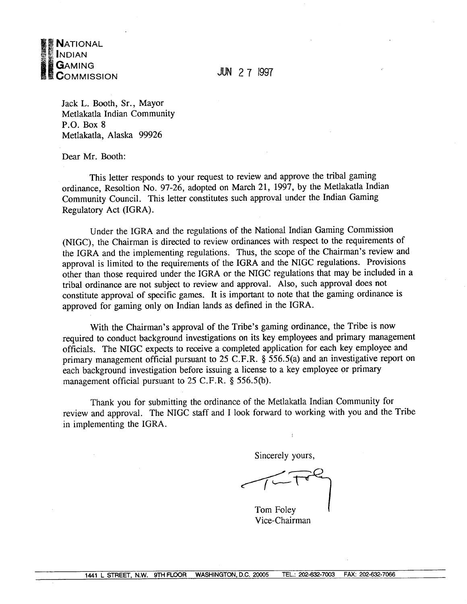

**JUN 27 1997** 

Jack L. Booth, Sr., Mayor Metlakatla Indian Community  $P.O. Box 8$ Metlakatla, Alaska 99926

Dear Mr. Booth:

This letter responds to your request to review and approve the tribal gaming ordinance, Resoltion No. 97-26, adopted on March 21, 1997, by the Metlakatla Indian Community Council. This letter constitutes such approval under the Indian Gaming Regulatory Act (IGRA).

Under the IGRA and the regulations of the National Indian Gaming Commission (NIGC), the Chairman is directed to review ordinances with respect to the requirements of the IGRA and the implementing regulations. Thus, the scope of the Chairman's review and approval is limited to the requirements of the IGRA and the NIGC regulations. Provisions other than those required under the IGRA or the NIGC regulations that may be included in a tribal ordinance are not subject to review and approval. Also, such approval does not constitute approval of specific games. It is important to note that the gaming ordinance is approved for gaming only on Indian lands as defined in the IGRA.

With the Chairman's approval of the Tribe's gaming ordinance, the Tribe is now required to conduct background investigations on its key employees and primary management officials. The NIGC expects to receive a completed application for each key employee and primary management official pursuant to 25 C.F.R. § 556.5(a) and an investigative report on each background investigation before issuing a license to a key employee or primary management official pursuant to 25 C.F.R. § 556.5(b).

Thank you for submitting the ordinance of the Metlakatla Indian Community for review and approval. The NIGC staff and I look forward to working with you and the Tribe in implementing the IGRA.

Sincerely yours,

 $\overline{\mathbf{r}}$ 

Tom Foley Vice-Chairman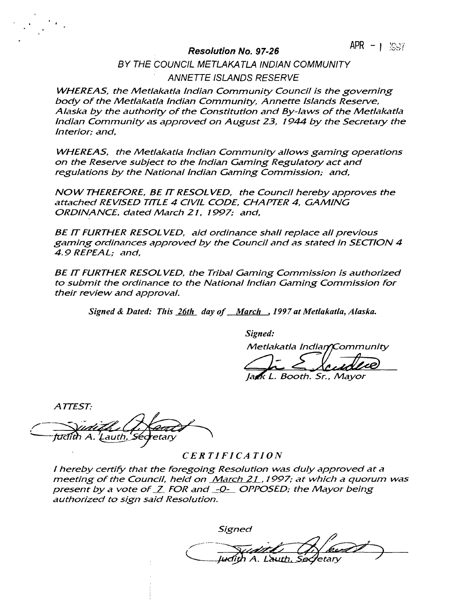### **Resolution No. 9 7-26 ~~ I**

**BY THE dOUNCIL METLAKATLA INDIAN COMMUNITY ANNETTE ISLANDS RESERVE**

**WHEREAS, the Metlakatla Indian Community Council is the governing body of the Metlakatla Indian Community, Annette Islands Reseive, Alaska by the authority of the Constitution and By-laws of the Metlakatla Indian Community as approved on August 23, 1944 by the Secretary the Interior; and,**

**WHEREAS, the Metlakatla Indian Community allows gaming operations on the Reseive subject to the Indian Gaming Regulatory act and regulations by the National Indian Gaming Commission; and,**

**NOW THEREFORE, BE IT RESOL VED, the Council hereby approves the attached REVISED TITLE 4 CIVIL CODE, CHAPTER 4, GAMING ORDINANCE, dated March 2/, 1997; and,**

**BE IT FURTHER RESOL VED, aid ordinance shall replace all previous gaming ordinances approved by the Council and as stated in SECTION 4 4.9 REPEAL; and,**

**BE IT FURTHER RESOL VED, the Tribal Gaming Commission is authorized to submit the ordinance to the National Indian Gaming Commission for their review and approval. mmission is authology**<br> **at Metlakatla, Alaska.**<br> **a** Indian Communi<br> **a** Indian Communi<br> **both. Sr., Mayor** 

**Signed & Dated: This 26th day of March , 1997 at Metlakatla, Alaska.**

**Signed:**

**Met/akatla India ommunity**

*Signed:***<br>** *Metlakatla Ind.***<br>** *Jakk L. Booth.* 

**Sr., Mayor**

**ATTEST.~**'Lauth, *S*edretary

### **CERTIFICATION**

**<sup>I</sup> hereby certify that the foregoing Resolution was duly approved at a meeting of the Council, held on March21, 1997; at which a quorum was p** hereby certify that the foregoing Resolution was duly approved a<br>meeting of the Council, held on <u>March 21</u> , 1997; at which a quorr<br>present by a vote of Z FOR and \_-Q-\_ OPPOSED; the Mayor being<br>authorized to sign said **authorized to sign said Resolution.** Signed:<br>
Signed:<br>
Metlakatla Indian Communit<br>
Metlakatla Indian Communit<br>
Jack L. Booth. Sr., Mayor<br>
Signed Communication<br>
CERTIFICATION<br>
CERTIFICATION<br>
COMARGE CONSIDIATE AND A Signed<br>
Communication.<br>
Signed<br>
Communicatio

**Signed**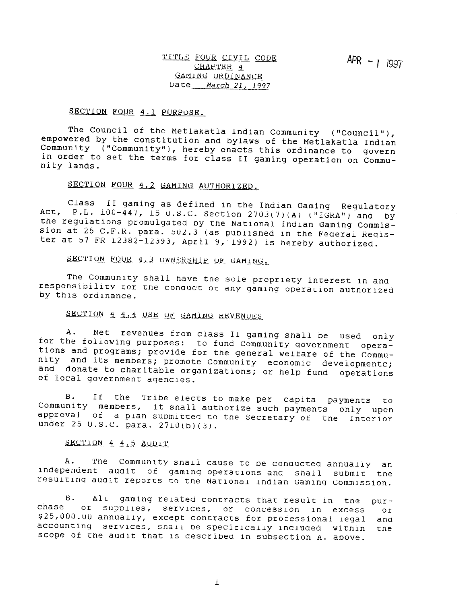### SECTION FOUR 4.1 PURPOSE.

The Council of the Metlakatla Indian Community ("Council"), empowered by the constitution and bylaws of the Metlakatla Indian Community ("Community"), hereby enacts this ordinance to govern in order to set the terms for class II gaming operation on Community lands.

### SECTION FOUR 4.2 GAMING AUTHORIZED.

Class II gaming as defined in the Indian Gaming Regulatory ACT, P.L.  $100-\bar{447}$ , 15 U.S.C. Section 2703(7)(A) ("IGRA") and by the regulations promulgated by the National Indian Gaming Commission at 25 C.F.R. para. 502.3 (as published in the Federal Register at 57 FR  $12382 - 12393$ , April 9, 1992) is hereby authorized.

SECTION FOUR 4.3 OWNERSHIP OF GAMING.

The Community shall have the sole propriety interest in and responsibility tor the conquet of any gaming operation authorized by this ordinance.

## SECTION 4 4.4 USE OF GAMING REVENUES

Net revenues from class II gaming shall be used only A. for the following purposes: to fund Community government operations and programs; provide for the general welfare of the Community and its members; promote Community economic developmentc; and donate to charitable organizations; or help fund operations of local government agencies.

If the Tribe elects to make per capita payments to **B**. Community members, it shall authorize such payments only upon approval of a plan submitted to the Secretary of the Interior under 25 U.S.C. para. 2710(b)(3).

SECTION 4 4.5 AUDIT

The Community snall cause to be conducted annually an A. independent audit of gaming operations and shall submit the resulting audit reports to the National Indian Gaming Commission.

All gaming related contracts that result in the B.  $pur$ chase ot supplies, services, or concession in excess ot. \$25,000.00 annually, except contracts for professional legal and accounting services, shall be specifically included within the scope of the audit that is described in subsection A. above.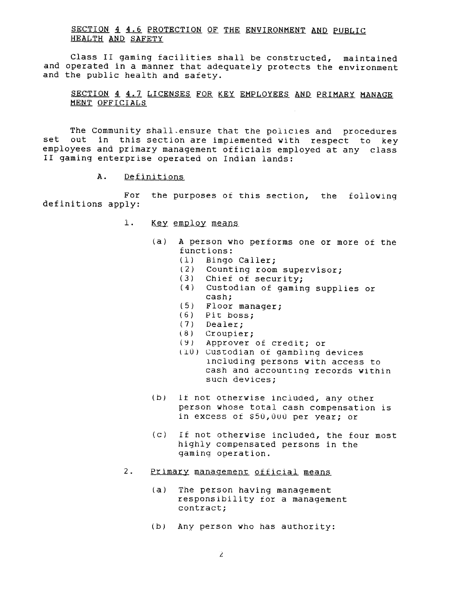### SECTION 4 4.6 PROTECTION OF THE ENVIRONMENT AND PUBLIC HEALTH AND SAFETY

Class II gaming facilities shall be constructed, maintained and operated in a manner that adequately protects the environment and the public health and safety.

SECTION 4 4.7 LICENSES FOR KEY EMPLOYEES AND PRIMARY MANAGE MENT OFFICIALS

The Community shall ensure that the policies and procedures out in this section are implemented with respect to key set employees and primary management officials employed at any class II gaming enterprise operated on Indian lands:

> Α. Definitions

the purposes of this section, the following For definitions apply:

- $1.$ Key employ means
	- A person who performs one or more of the  $(a)$ functions:
		- $(1)$ Bingo Caller;
		- $(2)$ Counting room supervisor:
		- (3) Chief of security;
		- (4) Custodian of gaming supplies or cash;
		- (5) Floor manager;
		- $(6)$  Pit boss;
		- $(7)$  Dealer:
		- $(8)$  Croupier;
		- (9) Approver of credit; or
		- (10) Custodian of qambling devices including persons with access to cash and accounting records within such devices;
	- $(b)$ If not otherwise included, any other person whose total cash compensation is in excess of \$50,000 per year; or
	- $(c)$ If not otherwise included, the four most highly compensated persons in the gaming operation.
- $2.$ Primary management official means
	- $(a)$ The person having management responsibility for a management contract;
	- (b) Any person who has authority: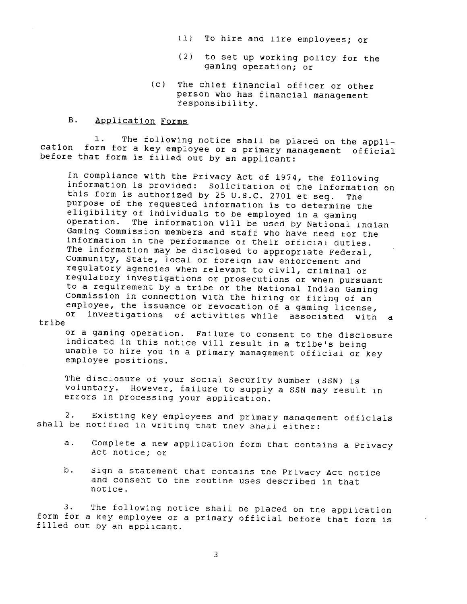- (1) To hire and fire employees; or
- to set up working policy for the  $(2)$ gaming operation; or
- (c) The chief financial officer or other person who has financial management responsibility.

#### $B.$ Application Forms

The following notice shall be placed on the appli- $1.$ cation form for a key employee or a primary management official before that form is filled out by an applicant:

In compliance with the Privacy Act of 1974, the following information is provided: Solicitation of the information on this form is authorized by 25 U.S.C. 2701 et seq. The purpose of the requested information is to determine the eligibility of individuals to be employed in a gaming operation. The information will be used by National Indian Gaming Commission members and staff who have need for the information in the performance of their official duties. The information may be disclosed to appropriate Federal, Community, State, local or foreign law entorcement and regulatory agencies when relevant to civil, criminal or regulatory investigations or prosecutions or when pursuant to a requirement by a tribe or the National Indian Gaming Commission in connection with the hiring or firing of an employee, the issuance or revocation of a gaming license, investigations of activities while associated with a or tribe

or a gaming operation. Failure to consent to the disclosure indicated in this notice will result in a tribe's being unable to hire you in a primary management official or key employee positions.

The disclosure of your Social Security Number (SSN) is voluntary. However, failure to supply a SSN may result in errors in processing your application.

 $2.$ Existing key employees and primary management officials shall be notified in writing that they shall either:

- Complete a new application form that contains a Privacy  $a.$ Act notice; or
- b. Sign a statement that contains the Privacy Act notice and consent to the routine uses described in that notice.

The following notice shall be placed on tne application З. form for a key employee or a primary official before that form is filled out by an applicant.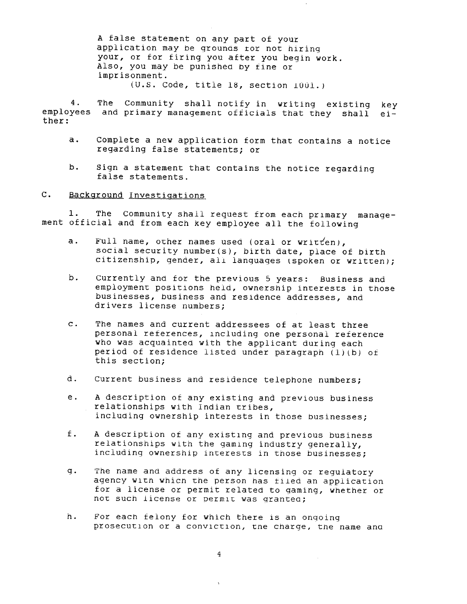A false statement on any part of your application may be grounds for not hiring your, or for firing you after you begin work. Also, you may be punished by fine or imprisonment.  $(U.S. Code, title 18, section 1001.)$ 

The Community shall notify in writing existing key 4. employees and primary management officials that they shall either:

- Complete a new application form that contains a notice  $a.$ regarding false statements; or
- b. Sign a statement that contains the notice regarding false statements.

 $C_{\bullet}$ Background Investigations

1. The Community shall request from each primary management official and from each key employee all the following

- Full name, other names used (oral or written),  $a.$ social security number(s), birth date, place of birth citizenship, gender, all languages (spoken or written);
- b. Currently and for the previous 5 years: Business and employment positions held, ownership interests in those businesses, business and residence addresses, and drivers license numbers;
- $\mathbf{c}$ . The names and current addressees of at least three personal references, including one personal reference who was acquainted with the applicant during each period of residence listed under paragraph (1)(b) of this section;
- d. Current business and residence telephone numbers;
- $e<sub>1</sub>$ A description of any existing and previous business relationships with Indian tribes, including ownership interests in those businesses;
- $f$ . A description of any existing and previous business relationships with the gaming industry generally, including ownership interests in those businesses;
- q. The name and address of any licensing or regulatory agency with which the person has filed an application for a license or permit related to gaming, whether or not such license or permit was granted;
- h. For each felony for which there is an ongoing prosecution or a conviction, the charge, the name and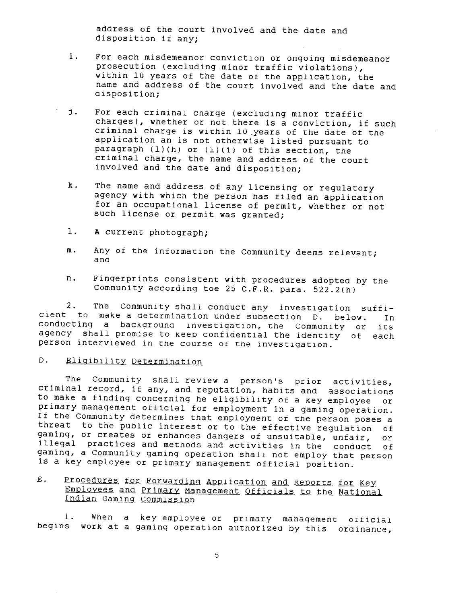address of the court involved and the date and disposition if any;

- i. For each misdemeanor conviction or ongoing misdemeanor prosecution (excluding minor traffic violations), within 10 years of the date of the application, the name and address of the court involved and the date and disposition;
- j. For each criminal charge (excluding minor traffic charges), whether or not there is a conviction, if such criminal charge is within 10 years of the date of the application an is not otherwise listed pursuant to paragraph  $(1)(h)$  or  $(1)(i)$  of this section, the criminal charge, the name and address of the court involved and the date and disposition;
- k. The name and address of any licensing or regulatory agency with which the person has filed an application for an occupational license of permit, whether or not such license or permit was granted;
- 1. A current photograph;
- Any of the information the Community deems relevant;  $m$ . and
- Fingerprints consistent with procedures adopted by the n. Community according toe 25 C.F.R. para. 522.2(h)

 $2.$ The Community shall conduct any investigation sufficient to make a determination under subsection D. below.  $In$ conducting a background investigation, the Community or its. agency shall promise to keep confidential the identity of each person interviewed in the course of the investigation.

#### Eligibility Determination  $D$ .

The Community shall review a person's prior activities, criminal record, if any, and reputation, habits and associations to make a finding concerning he eligibility of a key employee or primary management official for employment in a gaming operation. If the Community determines that employment of the person poses a threat to the public interest or to the effective regulation of gaming, or creates or enhances dangers of unsuitable, unfair,  $or$ illegal practices and methods and activities in the conduct of. gaming, a Community gaming operation shall not employ that person is a key employee or primary management official position.

### E. Procedures for Forwarding Application and Reports for Key Employees and Primary Management Officials to the National Indian Gaming Commission

 $1.$ When a key employee or primary management official begins work at a gaming operation authorized by this ordinance,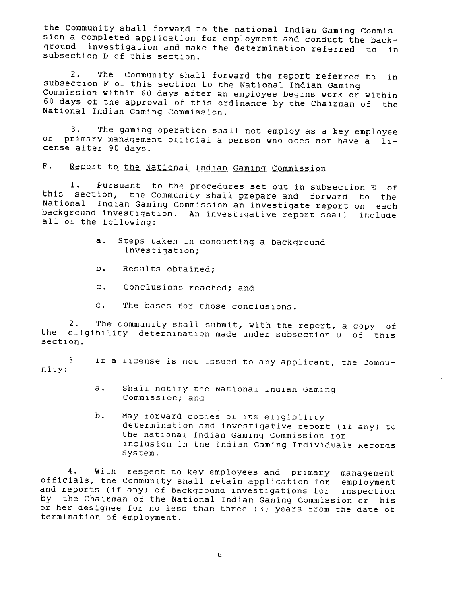the Community shall forward to the national Indian Gaming Commission a completed application for employment and conduct the background investigation and make the determination referred to in subsection D of this section.

 $2.$ The Community shall forward the report referred to in subsection F of this section to the National Indian Gaming Commission within 60 days after an employee begins work or within 60 days of the approval of this ordinance by the Chairman of the National Indian Gaming Commission.

The gaming operation shall not employ as a key employee 3.  $O<sub>L</sub>$ primary management official a person who does not have a license after 90 days.

 $F$ . Report to the National Indian Gaming Commission

Pursuant to the procedures set out in subsection E of  $\perp$ . this section, the Community shall prepare and forward to the National Indian Gaming Commission an investigate report on each background investigation. An investigative report shall include all of the following:

- $a.$ Steps taken in conducting a background investigation;
- b. Results obtained;
- c. Conclusions reached; and
- d. The bases for those conclusions.

 $2.$ The community shall submit, with the report, a copy of eligibility determination made under subsection D of this the section.

3. If a license is not issued to any applicant, the Community:

- Shall notify the National Indian Gaming  $a \cdot$ Commission; and
- b. May rorward copies of its eligibility determination and investigative report (if any) to the national Indian Gaming Commission tor inclusion in the Indian Gaming Individuals Records System.

With respect to key employees and primary management 4. officials, the Community shall retain application for employment and reports (if any) of background investigations for inspection by the Chairman of the National Indian Gaming Commission or his or her designee for no less than three (3) years trom the date of termination of employment.

6.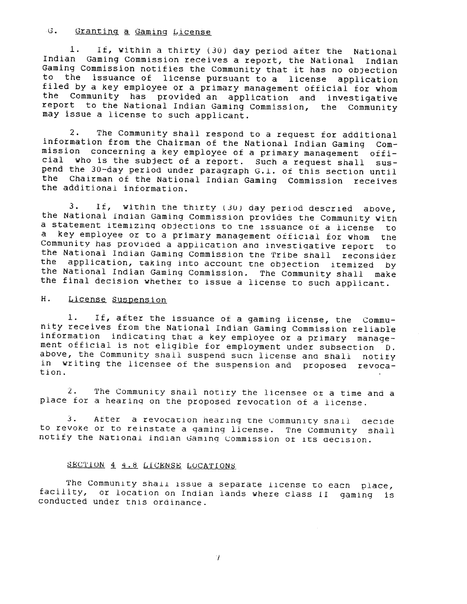#### $G_{\bullet}$ Granting a Gaming License

 $1$ . If, within a thirty (30) day period after the National Indian Gaming Commission receives a report, the National Indian Gaming Commission notifies the Community that it has no objection to the issuance of license pursuant to a license application filed by a key employee or a primary management official for whom the Community has provided an application and investigative report to the National Indian Gaming Commission, the Community may issue a license to such applicant.

The Community shall respond to a request for additional  $2\cdot$ information from the Chairman of the National Indian Gaming Commission concerning a key employee of a primary management official who is the subject of a report. Such a request shall suspend the 30-day period under paragraph G.1. of this section until the Chairman of the National Indian Gaming Commission receives the additional information.

 $3.$ If, within the thirty (30) day period descried above, the National Indian Gaming Commission provides the Community with a statement itemizing objections to the issuance of a license to a key employee or to a primary management official for whom the Community has provided a application and investigative report to the National Indian Gaming Commission the Tribe shall reconsider application, taking into account the objection itemized by the the National Indian Gaming Commission. The Community shall make the final decision whether to issue a license to such applicant.

#### Η. License Suspension

If, after the issuance of a gaming license, the Commu-1. nity receives from the National Indian Gaming Commission reliable information indicating that a key employee or a primary management official is not eligible for employment under subsection  $D$ . above, the Community shall suspend such license and shall notity in writing the licensee of the suspension and proposed revocation.

 $2.$ The Community shall notity the licensee of a time and a place for a hearing on the proposed revocation of a license.

After a revocation hearing the Community shall decide З. to revoke or to reinstate a gaming license. The Community shall notify the National Indian Gaming Commission of its decision.

### SECTION 4 4.8 LICENSE LOCATIONS

The Community shall issue a separate license to each place, facility, or location on Indian lands where class II gaming is conducted under this ordinance.